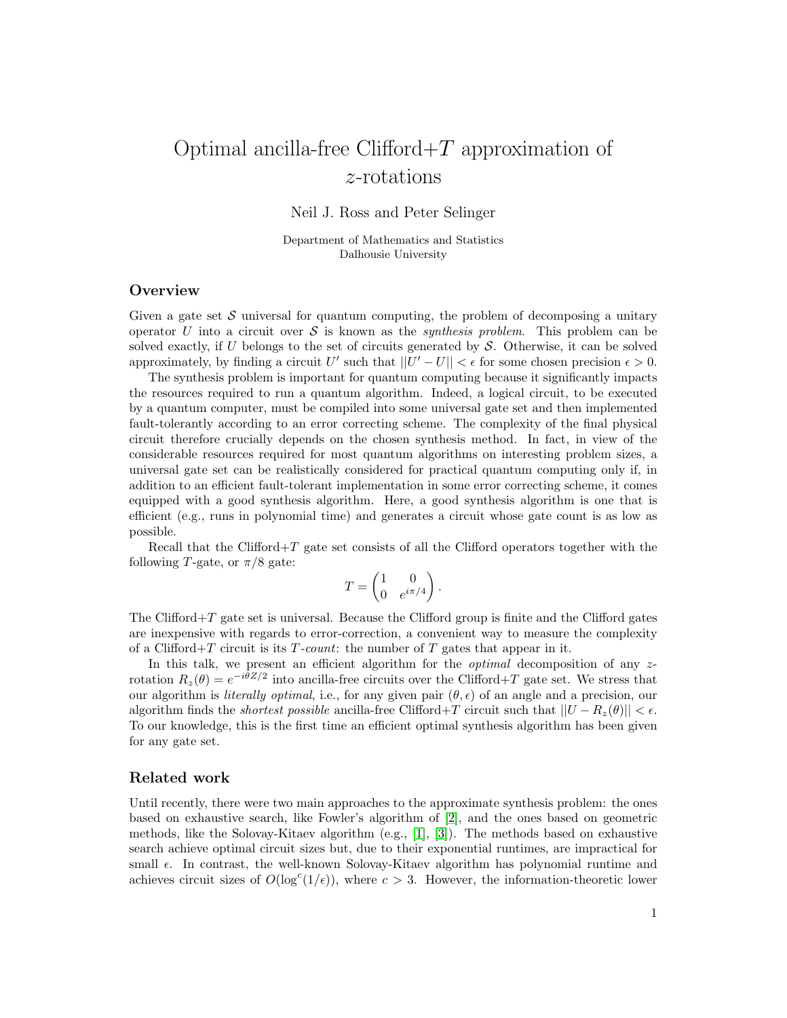# Optimal ancilla-free Clifford $+T$  approximation of z-rotations

Neil J. Ross and Peter Selinger

Department of Mathematics and Statistics Dalhousie University

### **Overview**

Given a gate set  $\mathcal S$  universal for quantum computing, the problem of decomposing a unitary operator U into a circuit over S is known as the *synthesis problem*. This problem can be solved exactly, if  $U$  belongs to the set of circuits generated by  $S$ . Otherwise, it can be solved approximately, by finding a circuit U' such that  $||U' - U|| < \epsilon$  for some chosen precision  $\epsilon > 0$ .

The synthesis problem is important for quantum computing because it significantly impacts the resources required to run a quantum algorithm. Indeed, a logical circuit, to be executed by a quantum computer, must be compiled into some universal gate set and then implemented fault-tolerantly according to an error correcting scheme. The complexity of the final physical circuit therefore crucially depends on the chosen synthesis method. In fact, in view of the considerable resources required for most quantum algorithms on interesting problem sizes, a universal gate set can be realistically considered for practical quantum computing only if, in addition to an efficient fault-tolerant implementation in some error correcting scheme, it comes equipped with a good synthesis algorithm. Here, a good synthesis algorithm is one that is efficient (e.g., runs in polynomial time) and generates a circuit whose gate count is as low as possible.

Recall that the Clifford $+T$  gate set consists of all the Clifford operators together with the following T-gate, or  $\pi/8$  gate:

$$
T = \begin{pmatrix} 1 & 0 \\ 0 & e^{i\pi/4} \end{pmatrix}.
$$

The Clifford $+T$  gate set is universal. Because the Clifford group is finite and the Clifford gates are inexpensive with regards to error-correction, a convenient way to measure the complexity of a Clifford+T circuit is its  $T$ -count: the number of T gates that appear in it.

In this talk, we present an efficient algorithm for the *optimal* decomposition of any  $z$ rotation  $R_z(\theta) = e^{-i\theta Z/2}$  into ancilla-free circuits over the Clifford+T gate set. We stress that our algorithm is *literally optimal*, i.e., for any given pair  $(\theta, \epsilon)$  of an angle and a precision, our algorithm finds the *shortest possible* ancilla-free Clifford+T circuit such that  $||U - R_z(\theta)|| < \epsilon$ . To our knowledge, this is the first time an efficient optimal synthesis algorithm has been given for any gate set.

#### Related work

Until recently, there were two main approaches to the approximate synthesis problem: the ones based on exhaustive search, like Fowler's algorithm of [\[2\]](#page-2-0), and the ones based on geometric methods, like the Solovay-Kitaev algorithm (e.g., [\[1\]](#page-2-1), [\[3\]](#page-2-2)). The methods based on exhaustive search achieve optimal circuit sizes but, due to their exponential runtimes, are impractical for small  $\epsilon$ . In contrast, the well-known Solovay-Kitaev algorithm has polynomial runtime and achieves circuit sizes of  $O(\log^c(1/\epsilon))$ , where  $c > 3$ . However, the information-theoretic lower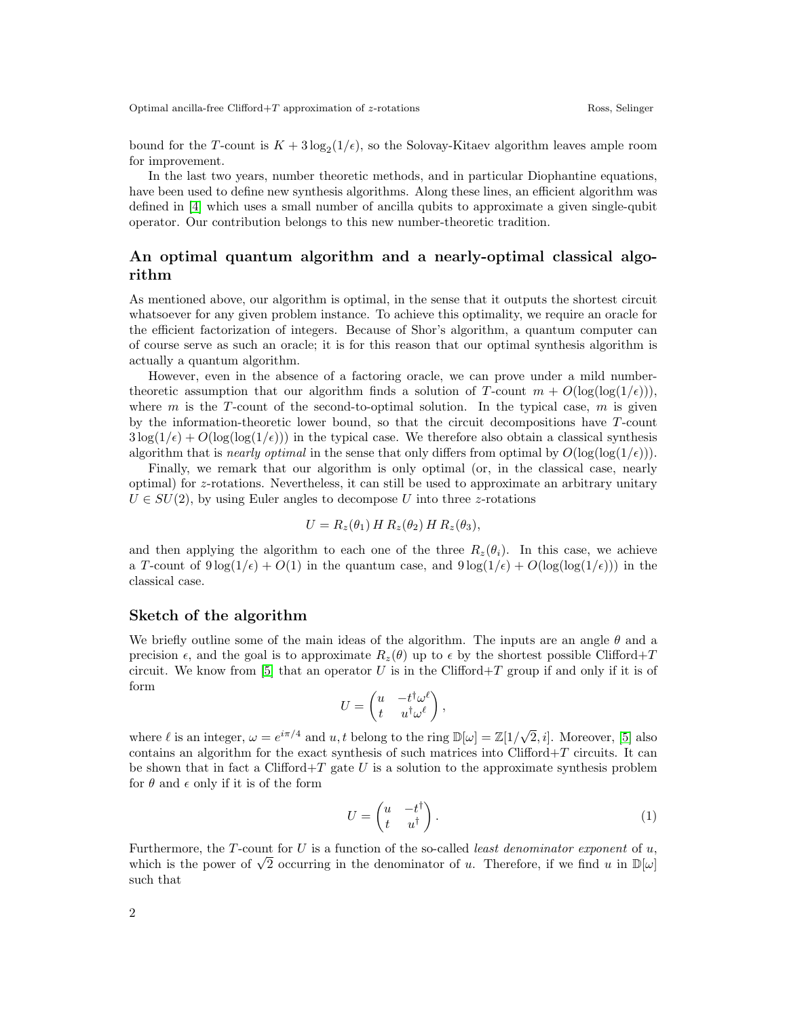bound for the T-count is  $K + 3\log_2(1/\epsilon)$ , so the Solovay-Kitaev algorithm leaves ample room for improvement.

In the last two years, number theoretic methods, and in particular Diophantine equations, have been used to define new synthesis algorithms. Along these lines, an efficient algorithm was defined in [\[4\]](#page-2-3) which uses a small number of ancilla qubits to approximate a given single-qubit operator. Our contribution belongs to this new number-theoretic tradition.

## An optimal quantum algorithm and a nearly-optimal classical algorithm

As mentioned above, our algorithm is optimal, in the sense that it outputs the shortest circuit whatsoever for any given problem instance. To achieve this optimality, we require an oracle for the efficient factorization of integers. Because of Shor's algorithm, a quantum computer can of course serve as such an oracle; it is for this reason that our optimal synthesis algorithm is actually a quantum algorithm.

However, even in the absence of a factoring oracle, we can prove under a mild numbertheoretic assumption that our algorithm finds a solution of T-count  $m + O(\log(\log(1/\epsilon)))$ , where m is the T-count of the second-to-optimal solution. In the typical case, m is given by the information-theoretic lower bound, so that the circuit decompositions have T-count  $3\log(1/\epsilon) + O(\log(\log(1/\epsilon)))$  in the typical case. We therefore also obtain a classical synthesis algorithm that is *nearly optimal* in the sense that only differs from optimal by  $O(\log(\log(1/\epsilon)))$ .

Finally, we remark that our algorithm is only optimal (or, in the classical case, nearly optimal) for z-rotations. Nevertheless, it can still be used to approximate an arbitrary unitary  $U \in SU(2)$ , by using Euler angles to decompose U into three z-rotations

$$
U = R_z(\theta_1) H R_z(\theta_2) H R_z(\theta_3),
$$

and then applying the algorithm to each one of the three  $R_z(\theta_i)$ . In this case, we achieve a T-count of  $9 \log(1/\epsilon) + O(1)$  in the quantum case, and  $9 \log(1/\epsilon) + O(\log(\log(1/\epsilon)))$  in the classical case.

#### Sketch of the algorithm

We briefly outline some of the main ideas of the algorithm. The inputs are an angle  $\theta$  and a precision  $\epsilon$ , and the goal is to approximate  $R_z(\theta)$  up to  $\epsilon$  by the shortest possible Clifford+T circuit. We know from [\[5\]](#page-2-4) that an operator U is in the Clifford+T group if and only if it is of form

$$
U = \begin{pmatrix} u & -t^{\dagger} \omega^{\ell} \\ t & u^{\dagger} \omega^{\ell} \end{pmatrix},
$$

where  $\ell$  is an integer,  $\omega = e^{i\pi/4}$  and  $u, t$  belong to the ring  $\mathbb{D}[\omega] = \mathbb{Z}[1/\sqrt{\pi}]$  $[2, i]$ . Moreover,  $[5]$  also contains an algorithm for the exact synthesis of such matrices into Clifford+T circuits. It can be shown that in fact a Clifford+T gate  $U$  is a solution to the approximate synthesis problem for  $\theta$  and  $\epsilon$  only if it is of the form

<span id="page-1-0"></span>
$$
U = \begin{pmatrix} u & -t^{\dagger} \\ t & u^{\dagger} \end{pmatrix} . \tag{1}
$$

Furthermore, the T-count for  $U$  is a function of the so-called *least denominator exponent* of  $u$ , Furthermore, the 1-count for  $U$  is a function of the so-called *least denominator exponent* of  $u$ , which is the power of  $\sqrt{2}$  occurring in the denominator of u. Therefore, if we find u in  $\mathbb{D}[\omega]$ such that